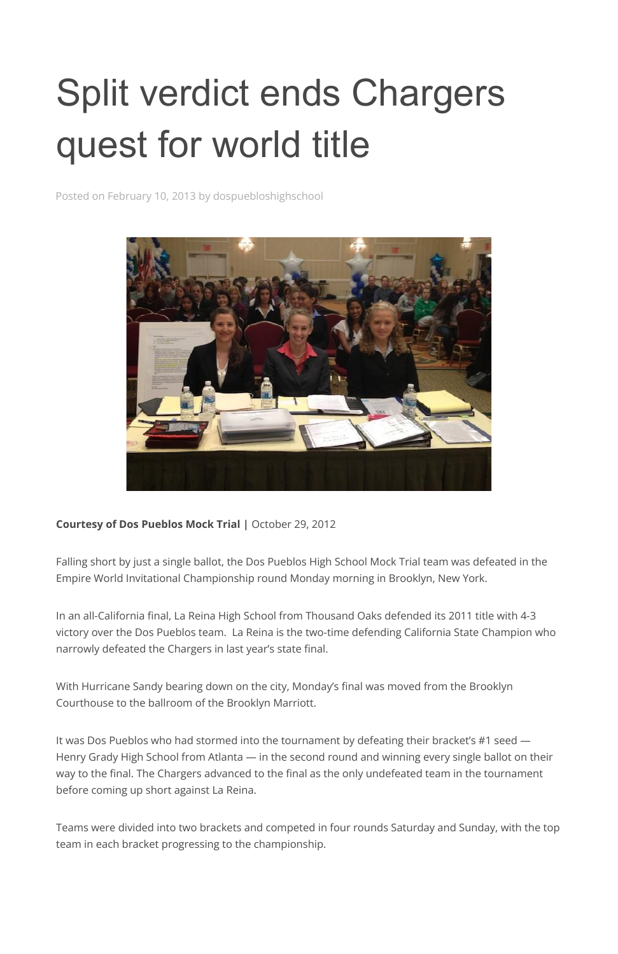## Split verdict ends Chargers quest for world title

Posted on February 10, 2013 by dospuebloshighschool



**Courtesy of Dos Pueblos Mock Trial |** October 29, 2012

Falling short by just a single ballot, the Dos Pueblos High School Mock Trial team was defeated in the Empire World Invitational Championship round Monday morning in Brooklyn, New York.

In an all-California final, La Reina High School from Thousand Oaks defended its 2011 title with 4-3 victory over the Dos Pueblos team. La Reina is the two-time defending California State Champion who narrowly defeated the Chargers in last year's state final.

With Hurricane Sandy bearing down on the city, Monday's final was moved from the Brooklyn

Courthouse to the ballroom of the Brooklyn Marriott.

It was Dos Pueblos who had stormed into the tournament by defeating their bracket's #1 seed — Henry Grady High School from Atlanta — in the second round and winning every single ballot on their way to the final. The Chargers advanced to the final as the only undefeated team in the tournament before coming up short against La Reina.

Teams were divided into two brackets and competed in four rounds Saturday and Sunday, with the top team in each bracket progressing to the championship.